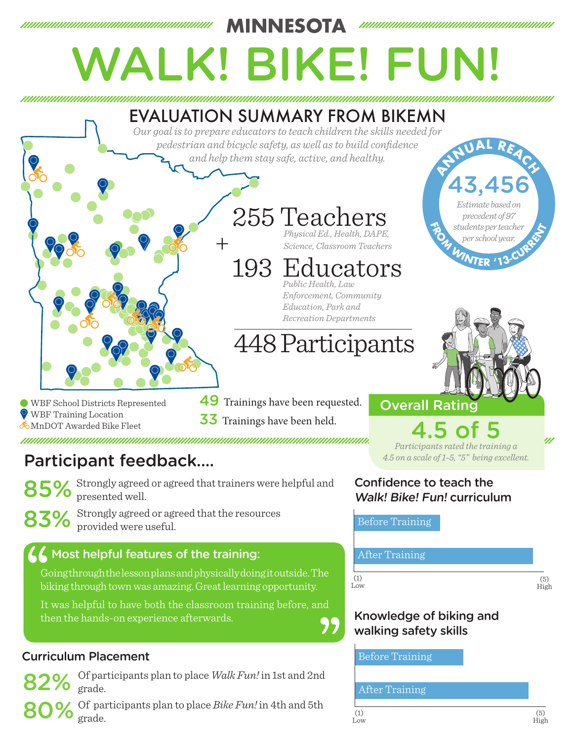

# Participant feedback....

85% Strongly agreed or agreed that trainers were helpful and presented well.

83% Strongly agreed or agreed that the resources provided were useful.

## $\overline{\mathcal{A}}$  Most helpful features of the training: After Training

Going through the lesson plans and physically doing it outside. The biking through town was amazing. Great learning opportunity.

It was helpful to have both the classroom training before, and then the hands-on experience afterwards.

## Curriculum Placement

82% Of participants plan to place *Walk Fun!* in 1st and 2nd grade.

80% Of participants plan to place *Bike Fun!* in 4th and 5th grade.

*Participants rated the training a* 

*4.5 on a scale of 1-5, "5" being excellent.*

### Confidence to teach the Walk! Bike! Fun! curriculum

Before Training



## Knowledge of biking and walking safety skills

Before Training

### After Training